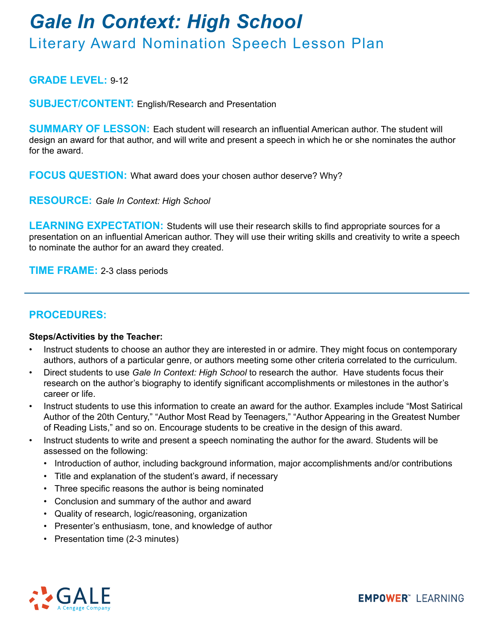# *Gale In Context: High School*

### Literary Award Nomination Speech Lesson Plan

#### **GRADE LEVEL:** 9-12

**SUBJECT/CONTENT:** English/Research and Presentation

**SUMMARY OF LESSON:** Each student will research an influential American author. The student will design an award for that author, and will write and present a speech in which he or she nominates the author for the award.

**FOCUS QUESTION:** What award does your chosen author deserve? Why?

**RESOURCE:** *Gale In Context: High School*

**LEARNING EXPECTATION:** Students will use their research skills to find appropriate sources for a presentation on an influential American author. They will use their writing skills and creativity to write a speech to nominate the author for an award they created.

**TIME FRAME:** 2-3 class periods

#### **PROCEDURES:**

#### **Steps/Activities by the Teacher:**

- Instruct students to choose an author they are interested in or admire. They might focus on contemporary authors, authors of a particular genre, or authors meeting some other criteria correlated to the curriculum.
- Direct students to use *Gale In Context: High School* to research the author. Have students focus their research on the author's biography to identify significant accomplishments or milestones in the author's career or life.
- Instruct students to use this information to create an award for the author. Examples include "Most Satirical Author of the 20th Century," "Author Most Read by Teenagers," "Author Appearing in the Greatest Number of Reading Lists," and so on. Encourage students to be creative in the design of this award.
- Instruct students to write and present a speech nominating the author for the award. Students will be assessed on the following:
	- Introduction of author, including background information, major accomplishments and/or contributions
	- Title and explanation of the student's award, if necessary
	- Three specific reasons the author is being nominated
	- Conclusion and summary of the author and award
	- Quality of research, logic/reasoning, organization
	- Presenter's enthusiasm, tone, and knowledge of author
	- Presentation time (2-3 minutes)